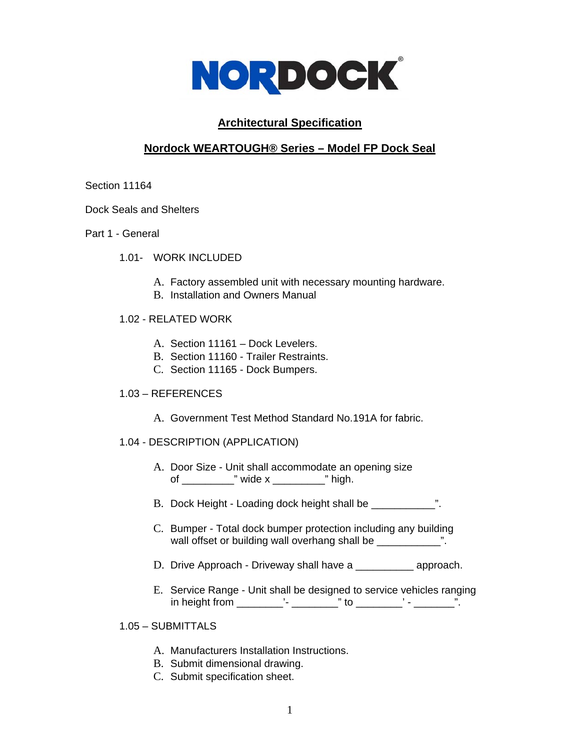

# **Architectural Specification**

# **Nordock WEARTOUGH® Series – Model FP Dock Seal**

### Section 11164

Dock Seals and Shelters

- Part 1 General
	- 1.01- WORK INCLUDED
		- A. Factory assembled unit with necessary mounting hardware.
		- B. Installation and Owners Manual

## 1.02 - RELATED WORK

- A. Section 11161 Dock Levelers.
- B. Section 11160 Trailer Restraints.
- C. Section 11165 Dock Bumpers.

# 1.03 – REFERENCES

A. Government Test Method Standard No.191A for fabric.

# 1.04 - DESCRIPTION (APPLICATION)

- A. Door Size Unit shall accommodate an opening size of \_\_\_\_\_\_\_\_\_\_\_\_\_" wide x \_\_\_\_\_\_\_\_\_\_\_\_\_\_\_\_\_\_\_\_" high.
- B. Dock Height Loading dock height shall be \_\_\_\_\_\_\_\_\_\_\_\_ ".
- C. Bumper Total dock bumper protection including any building wall offset or building wall overhang shall be \_\_\_\_\_\_\_\_\_\_\_\_".
- D. Drive Approach Driveway shall have a \_\_\_\_\_\_\_\_\_\_\_\_ approach.
- E. Service Range Unit shall be designed to service vehicles ranging in height from \_\_\_\_\_\_\_\_\_\_'- \_\_\_\_\_\_\_\_\_\_\_" to \_\_\_\_\_\_\_\_\_\_\_' - \_\_\_\_\_\_\_\_\_".

# 1.05 – SUBMITTALS

- A. Manufacturers Installation Instructions.
- B. Submit dimensional drawing.
- C. Submit specification sheet.